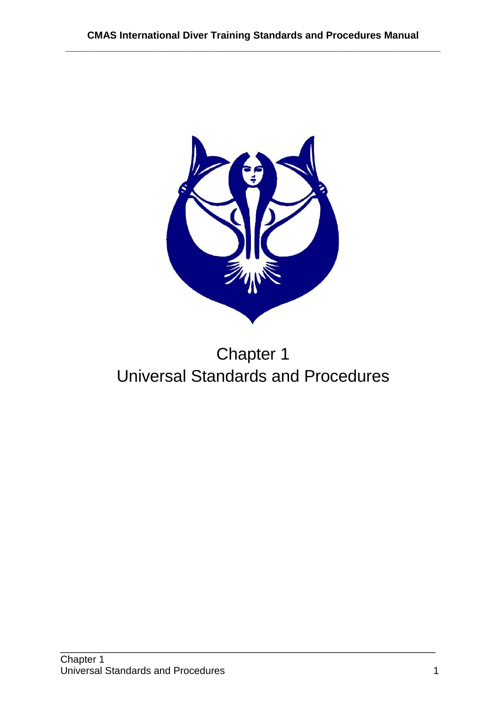

# Chapter 1 Universal Standards and Procedures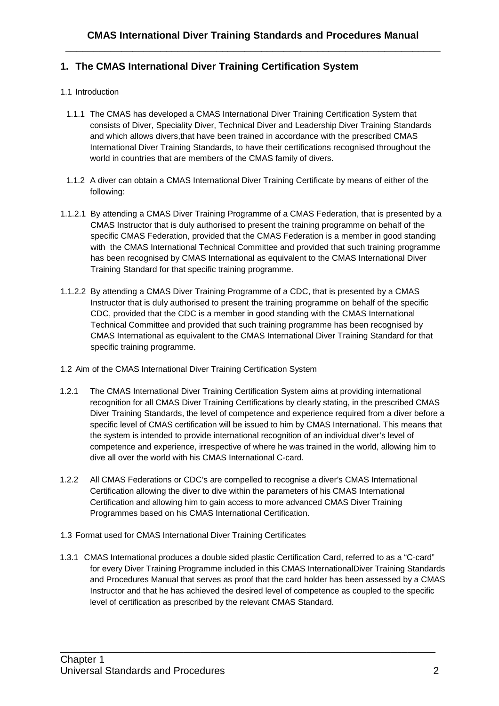# **1. The CMAS International Diver Training Certification System**

# 1.1 Introduction

- 1.1.1 The CMAS has developed a CMAS International Diver Training Certification System that consists of Diver, Speciality Diver, Technical Diver and Leadership Diver Training Standards and which allows divers,that have been trained in accordance with the prescribed CMAS International Diver Training Standards, to have their certifications recognised throughout the world in countries that are members of the CMAS family of divers.
- 1.1.2 A diver can obtain a CMAS International Diver Training Certificate by means of either of the following:
- 1.1.2.1 By attending a CMAS Diver Training Programme of a CMAS Federation, that is presented by a CMAS Instructor that is duly authorised to present the training programme on behalf of the specific CMAS Federation, provided that the CMAS Federation is a member in good standing with the CMAS International Technical Committee and provided that such training programme has been recognised by CMAS International as equivalent to the CMAS International Diver Training Standard for that specific training programme.
- 1.1.2.2 By attending a CMAS Diver Training Programme of a CDC, that is presented by a CMAS Instructor that is duly authorised to present the training programme on behalf of the specific CDC, provided that the CDC is a member in good standing with the CMAS International Technical Committee and provided that such training programme has been recognised by CMAS International as equivalent to the CMAS International Diver Training Standard for that specific training programme.
- 1.2 Aim of the CMAS International Diver Training Certification System
- 1.2.1 The CMAS International Diver Training Certification System aims at providing international recognition for all CMAS Diver Training Certifications by clearly stating, in the prescribed CMAS Diver Training Standards, the level of competence and experience required from a diver before a specific level of CMAS certification will be issued to him by CMAS International. This means that the system is intended to provide international recognition of an individual diver's level of competence and experience, irrespective of where he was trained in the world, allowing him to dive all over the world with his CMAS International C-card.
- 1.2.2 All CMAS Federations or CDC's are compelled to recognise a diver's CMAS International Certification allowing the diver to dive within the parameters of his CMAS International Certification and allowing him to gain access to more advanced CMAS Diver Training Programmes based on his CMAS International Certification.
- 1.3 Format used for CMAS International Diver Training Certificates
- 1.3.1 CMAS International produces a double sided plastic Certification Card, referred to as a "C-card" for every Diver Training Programme included in this CMAS InternationalDiver Training Standards and Procedures Manual that serves as proof that the card holder has been assessed by a CMAS Instructor and that he has achieved the desired level of competence as coupled to the specific level of certification as prescribed by the relevant CMAS Standard.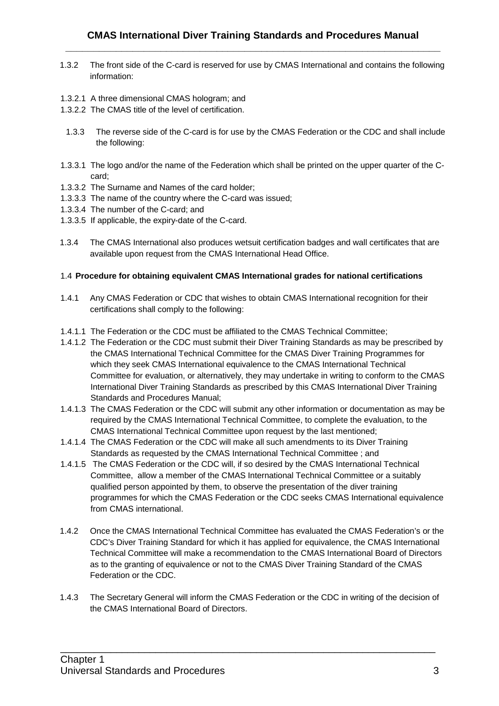- 1.3.2 The front side of the C-card is reserved for use by CMAS International and contains the following information:
- 1.3.2.1 A three dimensional CMAS hologram; and
- 1.3.2.2 The CMAS title of the level of certification.
- 1.3.3 The reverse side of the C-card is for use by the CMAS Federation or the CDC and shall include the following:
- 1.3.3.1 The logo and/or the name of the Federation which shall be printed on the upper quarter of the Ccard;
- 1.3.3.2 The Surname and Names of the card holder;
- 1.3.3.3 The name of the country where the C-card was issued;
- 1.3.3.4 The number of the C-card; and
- 1.3.3.5 If applicable, the expiry-date of the C-card.
- 1.3.4 The CMAS International also produces wetsuit certification badges and wall certificates that are available upon request from the CMAS International Head Office.

# 1.4 **Procedure for obtaining equivalent CMAS International grades for national certifications**

- 1.4.1 Any CMAS Federation or CDC that wishes to obtain CMAS International recognition for their certifications shall comply to the following:
- 1.4.1.1 The Federation or the CDC must be affiliated to the CMAS Technical Committee;
- 1.4.1.2 The Federation or the CDC must submit their Diver Training Standards as may be prescribed by the CMAS International Technical Committee for the CMAS Diver Training Programmes for which they seek CMAS International equivalence to the CMAS International Technical Committee for evaluation, or alternatively, they may undertake in writing to conform to the CMAS International Diver Training Standards as prescribed by this CMAS International Diver Training Standards and Procedures Manual;
- 1.4.1.3 The CMAS Federation or the CDC will submit any other information or documentation as may be required by the CMAS International Technical Committee, to complete the evaluation, to the CMAS International Technical Committee upon request by the last mentioned;
- 1.4.1.4 The CMAS Federation or the CDC will make all such amendments to its Diver Training Standards as requested by the CMAS International Technical Committee ; and
- 1.4.1.5 The CMAS Federation or the CDC will, if so desired by the CMAS International Technical Committee, allow a member of the CMAS International Technical Committee or a suitably qualified person appointed by them, to observe the presentation of the diver training programmes for which the CMAS Federation or the CDC seeks CMAS International equivalence from CMAS international.
- 1.4.2 Once the CMAS International Technical Committee has evaluated the CMAS Federation's or the CDC's Diver Training Standard for which it has applied for equivalence, the CMAS International Technical Committee will make a recommendation to the CMAS International Board of Directors as to the granting of equivalence or not to the CMAS Diver Training Standard of the CMAS Federation or the CDC.
- 1.4.3 The Secretary General will inform the CMAS Federation or the CDC in writing of the decision of the CMAS International Board of Directors.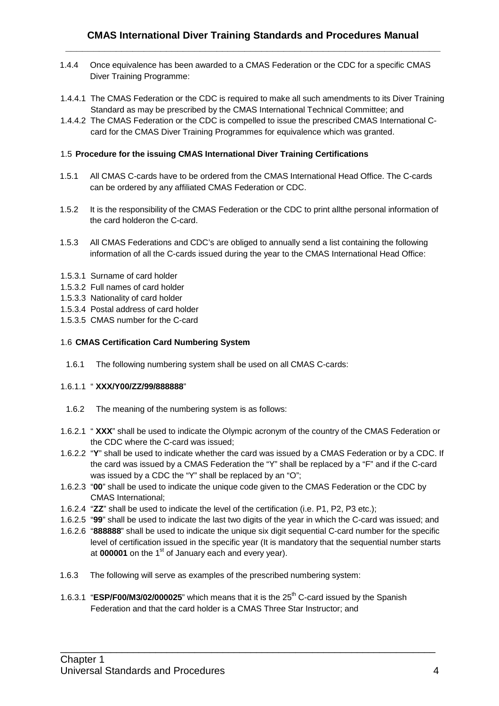- 1.4.4 Once equivalence has been awarded to a CMAS Federation or the CDC for a specific CMAS Diver Training Programme:
- 1.4.4.1 The CMAS Federation or the CDC is required to make all such amendments to its Diver Training Standard as may be prescribed by the CMAS International Technical Committee; and
- 1.4.4.2 The CMAS Federation or the CDC is compelled to issue the prescribed CMAS International Ccard for the CMAS Diver Training Programmes for equivalence which was granted.

# 1.5 **Procedure for the issuing CMAS International Diver Training Certifications**

- 1.5.1 All CMAS C-cards have to be ordered from the CMAS International Head Office. The C-cards can be ordered by any affiliated CMAS Federation or CDC.
- 1.5.2 It is the responsibility of the CMAS Federation or the CDC to print allthe personal information of the card holderon the C-card.
- 1.5.3 All CMAS Federations and CDC's are obliged to annually send a list containing the following information of all the C-cards issued during the year to the CMAS International Head Office:
- 1.5.3.1 Surname of card holder
- 1.5.3.2 Full names of card holder
- 1.5.3.3 Nationality of card holder
- 1.5.3.4 Postal address of card holder
- 1.5.3.5 CMAS number for the C-card

# 1.6 **CMAS Certification Card Numbering System**

1.6.1 The following numbering system shall be used on all CMAS C-cards:

# 1.6.1.1 " **XXX/Y00/ZZ/99/888888**"

- 1.6.2 The meaning of the numbering system is as follows:
- 1.6.2.1 " **XXX**" shall be used to indicate the Olympic acronym of the country of the CMAS Federation or the CDC where the C-card was issued;
- 1.6.2.2 "**Y**" shall be used to indicate whether the card was issued by a CMAS Federation or by a CDC. If the card was issued by a CMAS Federation the "Y" shall be replaced by a "F" and if the C-card was issued by a CDC the "Y" shall be replaced by an "O";
- 1.6.2.3 "**00**" shall be used to indicate the unique code given to the CMAS Federation or the CDC by CMAS International;
- 1.6.2.4 "**ZZ**" shall be used to indicate the level of the certification (i.e. P1, P2, P3 etc.);
- 1.6.2.5 "**99**" shall be used to indicate the last two digits of the year in which the C-card was issued; and
- 1.6.2.6 "**888888**" shall be used to indicate the unique six digit sequential C-card number for the specific level of certification issued in the specific year (It is mandatory that the sequential number starts at **000001** on the 1<sup>st</sup> of January each and every year).

- 1.6.3 The following will serve as examples of the prescribed numbering system:
- 1.6.3.1 "**ESP/F00/M3/02/000025**" which means that it is the 25th C-card issued by the Spanish Federation and that the card holder is a CMAS Three Star Instructor; and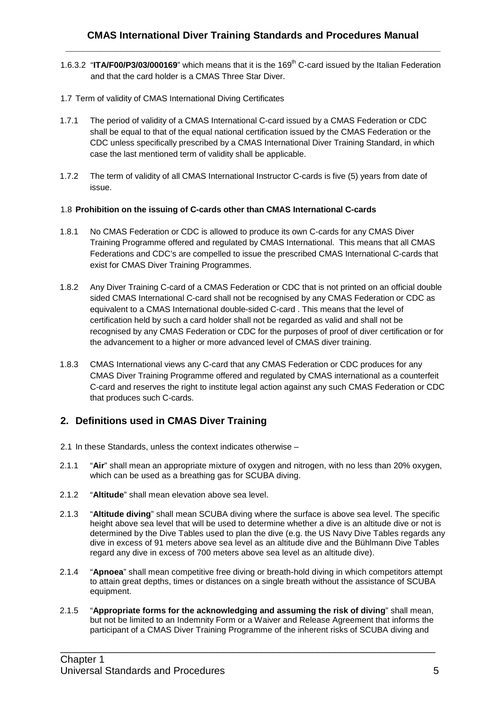- 1.6.3.2 "**ITA/F00/P3/03/000169**" which means that it is the 169th C-card issued by the Italian Federation and that the card holder is a CMAS Three Star Diver.
- 1.7 Term of validity of CMAS International Diving Certificates
- 1.7.1 The period of validity of a CMAS International C-card issued by a CMAS Federation or CDC shall be equal to that of the equal national certification issued by the CMAS Federation or the CDC unless specifically prescribed by a CMAS International Diver Training Standard, in which case the last mentioned term of validity shall be applicable.
- 1.7.2 The term of validity of all CMAS International Instructor C-cards is five (5) years from date of issue.

#### 1.8 **Prohibition on the issuing of C-cards other than CMAS International C-cards**

- 1.8.1 No CMAS Federation or CDC is allowed to produce its own C-cards for any CMAS Diver Training Programme offered and regulated by CMAS International. This means that all CMAS Federations and CDC's are compelled to issue the prescribed CMAS International C-cards that exist for CMAS Diver Training Programmes.
- 1.8.2 Any Diver Training C-card of a CMAS Federation or CDC that is not printed on an official double sided CMAS International C-card shall not be recognised by any CMAS Federation or CDC as equivalent to a CMAS International double-sided C-card . This means that the level of certification held by such a card holder shall not be regarded as valid and shall not be recognised by any CMAS Federation or CDC for the purposes of proof of diver certification or for the advancement to a higher or more advanced level of CMAS diver training.
- 1.8.3 CMAS International views any C-card that any CMAS Federation or CDC produces for any CMAS Diver Training Programme offered and regulated by CMAS international as a counterfeit C-card and reserves the right to institute legal action against any such CMAS Federation or CDC that produces such C-cards.

# **2. Definitions used in CMAS Diver Training**

- 2.1 In these Standards, unless the context indicates otherwise –
- 2.1.1 "**Air**" shall mean an appropriate mixture of oxygen and nitrogen, with no less than 20% oxygen, which can be used as a breathing gas for SCUBA diving.
- 2.1.2 "**Altitude**" shall mean elevation above sea level.
- 2.1.3 "**Altitude diving**" shall mean SCUBA diving where the surface is above sea level. The specific height above sea level that will be used to determine whether a dive is an altitude dive or not is determined by the Dive Tables used to plan the dive (e.g. the US Navy Dive Tables regards any dive in excess of 91 meters above sea level as an altitude dive and the Bühlmann Dive Tables regard any dive in excess of 700 meters above sea level as an altitude dive).
- 2.1.4 "**Apnoea**" shall mean competitive free diving or breath-hold diving in which competitors attempt to attain great depths, times or distances on a single breath without the assistance of SCUBA equipment.
- 2.1.5 "**Appropriate forms for the acknowledging and assuming the risk of diving**" shall mean, but not be limited to an Indemnity Form or a Waiver and Release Agreement that informs the participant of a CMAS Diver Training Programme of the inherent risks of SCUBA diving and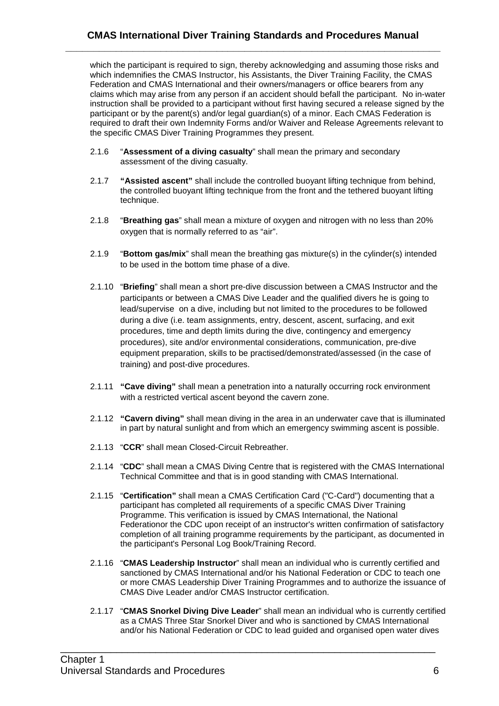which the participant is required to sign, thereby acknowledging and assuming those risks and which indemnifies the CMAS Instructor, his Assistants, the Diver Training Facility, the CMAS Federation and CMAS International and their owners/managers or office bearers from any claims which may arise from any person if an accident should befall the participant. No in-water instruction shall be provided to a participant without first having secured a release signed by the participant or by the parent(s) and/or legal guardian(s) of a minor. Each CMAS Federation is required to draft their own Indemnity Forms and/or Waiver and Release Agreements relevant to the specific CMAS Diver Training Programmes they present.

- 2.1.6 "**Assessment of a diving casualty**" shall mean the primary and secondary assessment of the diving casualty.
- 2.1.7 **"Assisted ascent"** shall include the controlled buoyant lifting technique from behind, the controlled buoyant lifting technique from the front and the tethered buoyant lifting technique.
- 2.1.8 "**Breathing gas**" shall mean a mixture of oxygen and nitrogen with no less than 20% oxygen that is normally referred to as "air".
- 2.1.9 "**Bottom gas/mix**" shall mean the breathing gas mixture(s) in the cylinder(s) intended to be used in the bottom time phase of a dive.
- 2.1.10 "**Briefing**" shall mean a short pre-dive discussion between a CMAS Instructor and the participants or between a CMAS Dive Leader and the qualified divers he is going to lead/supervise on a dive, including but not limited to the procedures to be followed during a dive (i.e. team assignments, entry, descent, ascent, surfacing, and exit procedures, time and depth limits during the dive, contingency and emergency procedures), site and/or environmental considerations, communication, pre-dive equipment preparation, skills to be practised/demonstrated/assessed (in the case of training) and post-dive procedures.
- 2.1.11 **"Cave diving"** shall mean a penetration into a naturally occurring rock environment with a restricted vertical ascent beyond the cavern zone.
- 2.1.12 **"Cavern diving"** shall mean diving in the area in an underwater cave that is illuminated in part by natural sunlight and from which an emergency swimming ascent is possible.
- 2.1.13 "**CCR**" shall mean Closed-Circuit Rebreather.
- 2.1.14 "**CDC**" shall mean a CMAS Diving Centre that is registered with the CMAS International Technical Committee and that is in good standing with CMAS International.
- 2.1.15 "**Certification"** shall mean a CMAS Certification Card ("C-Card") documenting that a participant has completed all requirements of a specific CMAS Diver Training Programme. This verification is issued by CMAS International, the National Federationor the CDC upon receipt of an instructor's written confirmation of satisfactory completion of all training programme requirements by the participant, as documented in the participant's Personal Log Book/Training Record.
- 2.1.16 "**CMAS Leadership Instructor**" shall mean an individual who is currently certified and sanctioned by CMAS International and/or his National Federation or CDC to teach one or more CMAS Leadership Diver Training Programmes and to authorize the issuance of CMAS Dive Leader and/or CMAS Instructor certification.
- 2.1.17 "**CMAS Snorkel Diving Dive Leader**" shall mean an individual who is currently certified as a CMAS Three Star Snorkel Diver and who is sanctioned by CMAS International and/or his National Federation or CDC to lead guided and organised open water dives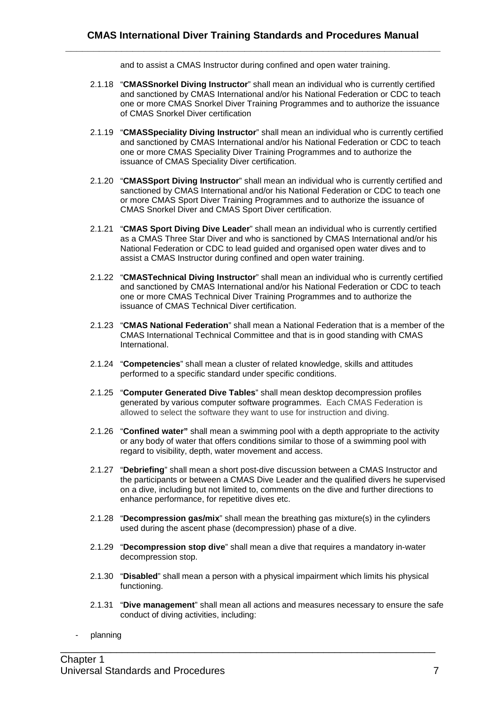and to assist a CMAS Instructor during confined and open water training.

- 2.1.18 "**CMASSnorkel Diving Instructor**" shall mean an individual who is currently certified and sanctioned by CMAS International and/or his National Federation or CDC to teach one or more CMAS Snorkel Diver Training Programmes and to authorize the issuance of CMAS Snorkel Diver certification
- 2.1.19 "**CMASSpeciality Diving Instructor**" shall mean an individual who is currently certified and sanctioned by CMAS International and/or his National Federation or CDC to teach one or more CMAS Speciality Diver Training Programmes and to authorize the issuance of CMAS Speciality Diver certification.
- 2.1.20 "**CMASSport Diving Instructor**" shall mean an individual who is currently certified and sanctioned by CMAS International and/or his National Federation or CDC to teach one or more CMAS Sport Diver Training Programmes and to authorize the issuance of CMAS Snorkel Diver and CMAS Sport Diver certification.
- 2.1.21 "**CMAS Sport Diving Dive Leader**" shall mean an individual who is currently certified as a CMAS Three Star Diver and who is sanctioned by CMAS International and/or his National Federation or CDC to lead guided and organised open water dives and to assist a CMAS Instructor during confined and open water training.
- 2.1.22 "**CMASTechnical Diving Instructor**" shall mean an individual who is currently certified and sanctioned by CMAS International and/or his National Federation or CDC to teach one or more CMAS Technical Diver Training Programmes and to authorize the issuance of CMAS Technical Diver certification.
- 2.1.23 "**CMAS National Federation**" shall mean a National Federation that is a member of the CMAS International Technical Committee and that is in good standing with CMAS International.
- 2.1.24 "**Competencies**" shall mean a cluster of related knowledge, skills and attitudes performed to a specific standard under specific conditions.
- 2.1.25 "**Computer Generated Dive Tables**" shall mean desktop decompression profiles generated by various computer software programmes. Each CMAS Federation is allowed to select the software they want to use for instruction and diving.
- 2.1.26 "**Confined water"** shall mean a swimming pool with a depth appropriate to the activity or any body of water that offers conditions similar to those of a swimming pool with regard to visibility, depth, water movement and access.
- 2.1.27 "**Debriefing**" shall mean a short post-dive discussion between a CMAS Instructor and the participants or between a CMAS Dive Leader and the qualified divers he supervised on a dive, including but not limited to, comments on the dive and further directions to enhance performance, for repetitive dives etc.
- 2.1.28 "**Decompression gas/mix**" shall mean the breathing gas mixture(s) in the cylinders used during the ascent phase (decompression) phase of a dive.
- 2.1.29 "**Decompression stop dive**" shall mean a dive that requires a mandatory in-water decompression stop.
- 2.1.30 "**Disabled**" shall mean a person with a physical impairment which limits his physical functioning.

- 2.1.31 "**Dive management**" shall mean all actions and measures necessary to ensure the safe conduct of diving activities, including:
- planning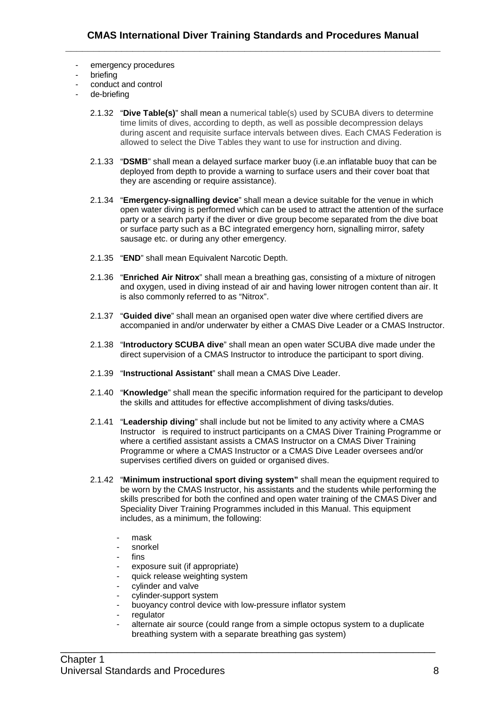- emergency procedures
- briefing
- conduct and control
- de-briefing
	- 2.1.32 "**Dive Table(s)**" shall mean a numerical table(s) used by SCUBA divers to determine time limits of dives, according to depth, as well as possible decompression delays during ascent and requisite surface intervals between dives. Each CMAS Federation is allowed to select the Dive Tables they want to use for instruction and diving.
	- 2.1.33 "**DSMB**" shall mean a delayed surface marker buoy (i.e.an inflatable buoy that can be deployed from depth to provide a warning to surface users and their cover boat that they are ascending or require assistance).
	- 2.1.34 "**Emergency-signalling device**" shall mean a device suitable for the venue in which open water diving is performed which can be used to attract the attention of the surface party or a search party if the diver or dive group become separated from the dive boat or surface party such as a BC integrated emergency horn, signalling mirror, safety sausage etc. or during any other emergency.
	- 2.1.35 "**END**" shall mean Equivalent Narcotic Depth.
	- 2.1.36 "**Enriched Air Nitrox**" shall mean a breathing gas, consisting of a mixture of nitrogen and oxygen, used in diving instead of air and having lower nitrogen content than air. It is also commonly referred to as "Nitrox".
	- 2.1.37 "**Guided dive**" shall mean an organised open water dive where certified divers are accompanied in and/or underwater by either a CMAS Dive Leader or a CMAS Instructor.
	- 2.1.38 "**Introductory SCUBA dive**" shall mean an open water SCUBA dive made under the direct supervision of a CMAS Instructor to introduce the participant to sport diving.
	- 2.1.39 "**Instructional Assistant**" shall mean a CMAS Dive Leader.
	- 2.1.40 "**Knowledge**" shall mean the specific information required for the participant to develop the skills and attitudes for effective accomplishment of diving tasks/duties.
	- 2.1.41 "**Leadership diving**" shall include but not be limited to any activity where a CMAS Instructor is required to instruct participants on a CMAS Diver Training Programme or where a certified assistant assists a CMAS Instructor on a CMAS Diver Training Programme or where a CMAS Instructor or a CMAS Dive Leader oversees and/or supervises certified divers on guided or organised dives.
	- 2.1.42 "**Minimum instructional sport diving system"** shall mean the equipment required to be worn by the CMAS Instructor, his assistants and the students while performing the skills prescribed for both the confined and open water training of the CMAS Diver and Speciality Diver Training Programmes included in this Manual. This equipment includes, as a minimum, the following:
		- mask
		- snorkel
		- fins
		- exposure suit (if appropriate)
		- quick release weighting system
		- cylinder and valve
		- cylinder-support system
		- buoyancy control device with low-pressure inflator system
		- regulator
		- alternate air source (could range from a simple octopus system to a duplicate breathing system with a separate breathing gas system)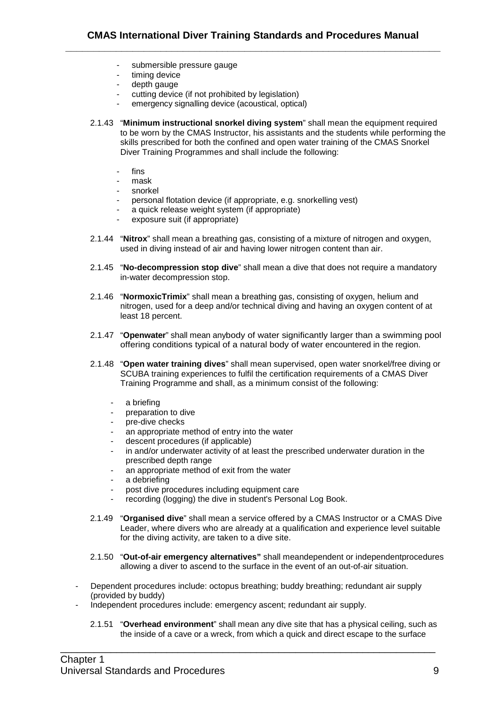- submersible pressure gauge
- timing device
- depth gauge
- cutting device (if not prohibited by legislation)
- emergency signalling device (acoustical, optical)
- 2.1.43 "**Minimum instructional snorkel diving system**" shall mean the equipment required to be worn by the CMAS Instructor, his assistants and the students while performing the skills prescribed for both the confined and open water training of the CMAS Snorkel Diver Training Programmes and shall include the following:
	- fins
	- mask
	- snorkel
	- personal flotation device (if appropriate, e.g. snorkelling vest)
	- a quick release weight system (if appropriate)
	- exposure suit (if appropriate)
- 2.1.44 "**Nitrox**" shall mean a breathing gas, consisting of a mixture of nitrogen and oxygen, used in diving instead of air and having lower nitrogen content than air.
- 2.1.45 "**No-decompression stop dive**" shall mean a dive that does not require a mandatory in-water decompression stop.
- 2.1.46 "**NormoxicTrimix**" shall mean a breathing gas, consisting of oxygen, helium and nitrogen, used for a deep and/or technical diving and having an oxygen content of at least 18 percent.
- 2.1.47 "**Openwater**" shall mean anybody of water significantly larger than a swimming pool offering conditions typical of a natural body of water encountered in the region.
- 2.1.48 "**Open water training dives**" shall mean supervised, open water snorkel/free diving or SCUBA training experiences to fulfil the certification requirements of a CMAS Diver Training Programme and shall, as a minimum consist of the following:
	- a briefing
	- preparation to dive
	- pre-dive checks
	- an appropriate method of entry into the water
	- descent procedures (if applicable)
	- in and/or underwater activity of at least the prescribed underwater duration in the prescribed depth range
	- an appropriate method of exit from the water
	- a debriefing
	- post dive procedures including equipment care
	- recording (logging) the dive in student's Personal Log Book.
- 2.1.49 "**Organised dive**" shall mean a service offered by a CMAS Instructor or a CMAS Dive Leader, where divers who are already at a qualification and experience level suitable for the diving activity, are taken to a dive site.
- 2.1.50 "**Out-of-air emergency alternatives"** shall meandependent or independentprocedures allowing a diver to ascend to the surface in the event of an out-of-air situation.
- Dependent procedures include: octopus breathing; buddy breathing; redundant air supply (provided by buddy)

- Independent procedures include: emergency ascent; redundant air supply.
	- 2.1.51 "**Overhead environment**" shall mean any dive site that has a physical ceiling, such as the inside of a cave or a wreck, from which a quick and direct escape to the surface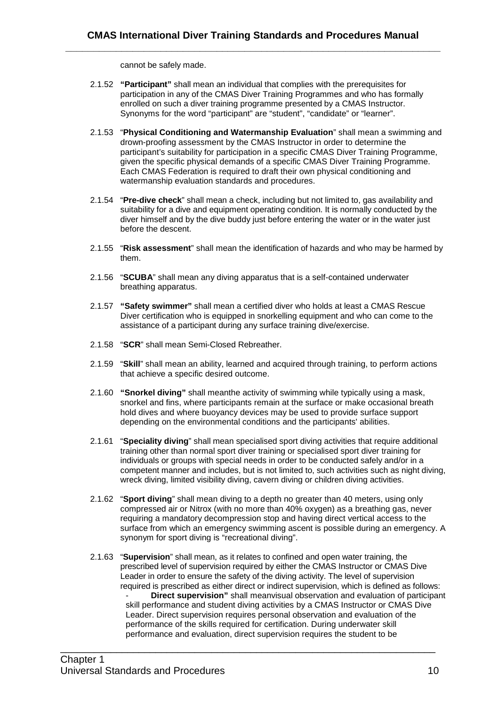cannot be safely made.

- 2.1.52 **"Participant"** shall mean an individual that complies with the prerequisites for participation in any of the CMAS Diver Training Programmes and who has formally enrolled on such a diver training programme presented by a CMAS Instructor. Synonyms for the word "participant" are "student", "candidate" or "learner".
- 2.1.53 "**Physical Conditioning and Watermanship Evaluation**" shall mean a swimming and drown-proofing assessment by the CMAS Instructor in order to determine the participant's suitability for participation in a specific CMAS Diver Training Programme, given the specific physical demands of a specific CMAS Diver Training Programme. Each CMAS Federation is required to draft their own physical conditioning and watermanship evaluation standards and procedures.
- 2.1.54 "**Pre-dive check**" shall mean a check, including but not limited to, gas availability and suitability for a dive and equipment operating condition. It is normally conducted by the diver himself and by the dive buddy just before entering the water or in the water just before the descent.
- 2.1.55 "**Risk assessment**" shall mean the identification of hazards and who may be harmed by them.
- 2.1.56 "**SCUBA**" shall mean any diving apparatus that is a self-contained underwater breathing apparatus.
- 2.1.57 **"Safety swimmer"** shall mean a certified diver who holds at least a CMAS Rescue Diver certification who is equipped in snorkelling equipment and who can come to the assistance of a participant during any surface training dive/exercise.
- 2.1.58 "**SCR**" shall mean Semi-Closed Rebreather.
- 2.1.59 "**Skill**" shall mean an ability, learned and acquired through training, to perform actions that achieve a specific desired outcome.
- 2.1.60 **"Snorkel diving"** shall meanthe activity of swimming while typically using a mask, snorkel and fins, where participants remain at the surface or make occasional breath hold dives and where buoyancy devices may be used to provide surface support depending on the environmental conditions and the participants' abilities.
- 2.1.61 "**Speciality diving**" shall mean specialised sport diving activities that require additional training other than normal sport diver training or specialised sport diver training for individuals or groups with special needs in order to be conducted safely and/or in a competent manner and includes, but is not limited to, such activities such as night diving, wreck diving, limited visibility diving, cavern diving or children diving activities.
- 2.1.62 "**Sport diving**" shall mean diving to a depth no greater than 40 meters, using only compressed air or Nitrox (with no more than 40% oxygen) as a breathing gas, never requiring a mandatory decompression stop and having direct vertical access to the surface from which an emergency swimming ascent is possible during an emergency. A synonym for sport diving is "recreational diving".
- 2.1.63 "**Supervision**" shall mean, as it relates to confined and open water training, the prescribed level of supervision required by either the CMAS Instructor or CMAS Dive Leader in order to ensure the safety of the diving activity. The level of supervision required is prescribed as either direct or indirect supervision, which is defined as follows: - **Direct supervision"** shall meanvisual observation and evaluation of participant skill performance and student diving activities by a CMAS Instructor or CMAS Dive Leader. Direct supervision requires personal observation and evaluation of the performance of the skills required for certification. During underwater skill performance and evaluation, direct supervision requires the student to be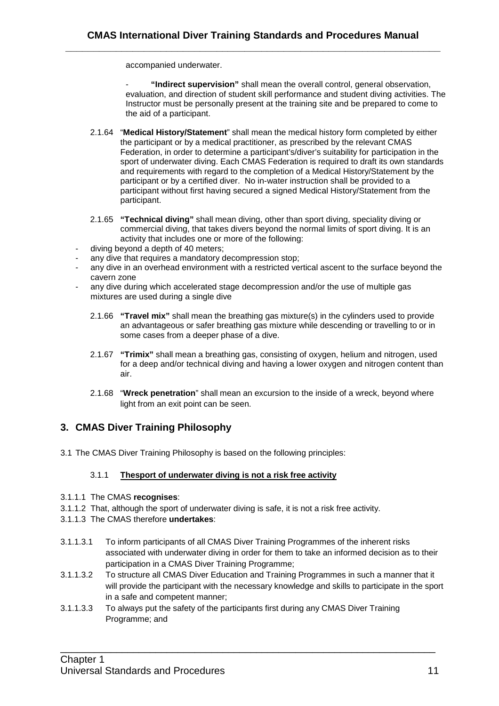accompanied underwater.

- **"Indirect supervision"** shall mean the overall control, general observation, evaluation, and direction of student skill performance and student diving activities. The Instructor must be personally present at the training site and be prepared to come to the aid of a participant.

- 2.1.64 "**Medical History/Statement**" shall mean the medical history form completed by either the participant or by a medical practitioner, as prescribed by the relevant CMAS Federation, in order to determine a participant's/diver's suitability for participation in the sport of underwater diving. Each CMAS Federation is required to draft its own standards and requirements with regard to the completion of a Medical History/Statement by the participant or by a certified diver. No in-water instruction shall be provided to a participant without first having secured a signed Medical History/Statement from the participant.
- 2.1.65 **"Technical diving"** shall mean diving, other than sport diving, speciality diving or commercial diving, that takes divers beyond the normal limits of sport diving. It is an activity that includes one or more of the following:
- diving beyond a depth of 40 meters;
- any dive that requires a mandatory decompression stop;
- any dive in an overhead environment with a restricted vertical ascent to the surface beyond the cavern zone
- any dive during which accelerated stage decompression and/or the use of multiple gas mixtures are used during a single dive
	- 2.1.66 **"Travel mix"** shall mean the breathing gas mixture(s) in the cylinders used to provide an advantageous or safer breathing gas mixture while descending or travelling to or in some cases from a deeper phase of a dive.
	- 2.1.67 **"Trimix"** shall mean a breathing gas, consisting of oxygen, helium and nitrogen, used for a deep and/or technical diving and having a lower oxygen and nitrogen content than air.
	- 2.1.68 "**Wreck penetration**" shall mean an excursion to the inside of a wreck, beyond where light from an exit point can be seen.

# **3. CMAS Diver Training Philosophy**

3.1 The CMAS Diver Training Philosophy is based on the following principles:

# 3.1.1 **Thesport of underwater diving is not a risk free activity**

- 3.1.1.1 The CMAS **recognises**:
- 3.1.1.2 That, although the sport of underwater diving is safe, it is not a risk free activity.
- 3.1.1.3 The CMAS therefore **undertakes**:
- 3.1.1.3.1 To inform participants of all CMAS Diver Training Programmes of the inherent risks associated with underwater diving in order for them to take an informed decision as to their participation in a CMAS Diver Training Programme;
- 3.1.1.3.2 To structure all CMAS Diver Education and Training Programmes in such a manner that it will provide the participant with the necessary knowledge and skills to participate in the sport in a safe and competent manner;

\_\_\_\_\_\_\_\_\_\_\_\_\_\_\_\_\_\_\_\_\_\_\_\_\_\_\_\_\_\_\_\_\_\_\_\_\_\_\_\_\_\_\_\_\_\_\_\_\_\_\_\_\_\_\_\_\_\_\_\_\_\_\_\_\_\_\_

3.1.1.3.3 To always put the safety of the participants first during any CMAS Diver Training Programme; and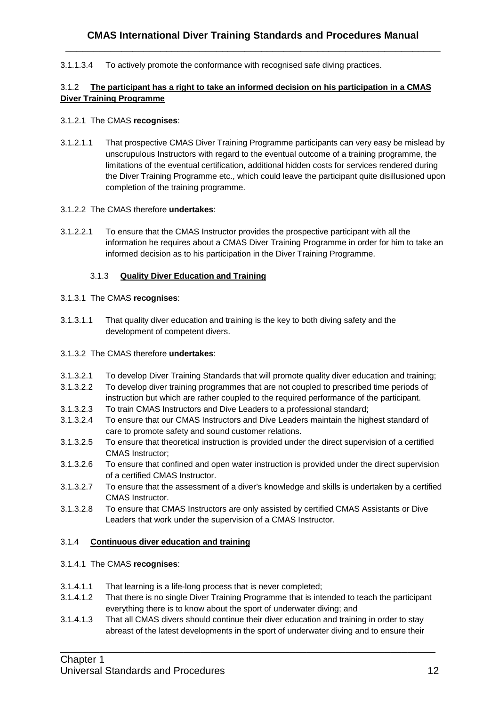3.1.1.3.4 To actively promote the conformance with recognised safe diving practices.

# 3.1.2 **The participant has a right to take an informed decision on his participation in a CMAS Diver Training Programme**

# 3.1.2.1 The CMAS **recognises**:

3.1.2.1.1 That prospective CMAS Diver Training Programme participants can very easy be mislead by unscrupulous Instructors with regard to the eventual outcome of a training programme, the limitations of the eventual certification, additional hidden costs for services rendered during the Diver Training Programme etc., which could leave the participant quite disillusioned upon completion of the training programme.

# 3.1.2.2 The CMAS therefore **undertakes**:

3.1.2.2.1 To ensure that the CMAS Instructor provides the prospective participant with all the information he requires about a CMAS Diver Training Programme in order for him to take an informed decision as to his participation in the Diver Training Programme.

# 3.1.3 **Quality Diver Education and Training**

# 3.1.3.1 The CMAS **recognises**:

- 3.1.3.1.1 That quality diver education and training is the key to both diving safety and the development of competent divers.
- 3.1.3.2 The CMAS therefore **undertakes**:
- 3.1.3.2.1 To develop Diver Training Standards that will promote quality diver education and training;
- 3.1.3.2.2 To develop diver training programmes that are not coupled to prescribed time periods of instruction but which are rather coupled to the required performance of the participant.
- 3.1.3.2.3 To train CMAS Instructors and Dive Leaders to a professional standard;
- 3.1.3.2.4 To ensure that our CMAS Instructors and Dive Leaders maintain the highest standard of care to promote safety and sound customer relations.
- 3.1.3.2.5 To ensure that theoretical instruction is provided under the direct supervision of a certified CMAS Instructor;
- 3.1.3.2.6 To ensure that confined and open water instruction is provided under the direct supervision of a certified CMAS Instructor.
- 3.1.3.2.7 To ensure that the assessment of a diver's knowledge and skills is undertaken by a certified CMAS Instructor.
- 3.1.3.2.8 To ensure that CMAS Instructors are only assisted by certified CMAS Assistants or Dive Leaders that work under the supervision of a CMAS Instructor.

# 3.1.4 **Continuous diver education and training**

# 3.1.4.1 The CMAS **recognises**:

- 3.1.4.1.1 That learning is a life-long process that is never completed;
- 3.1.4.1.2 That there is no single Diver Training Programme that is intended to teach the participant everything there is to know about the sport of underwater diving; and
- 3.1.4.1.3 That all CMAS divers should continue their diver education and training in order to stay abreast of the latest developments in the sport of underwater diving and to ensure their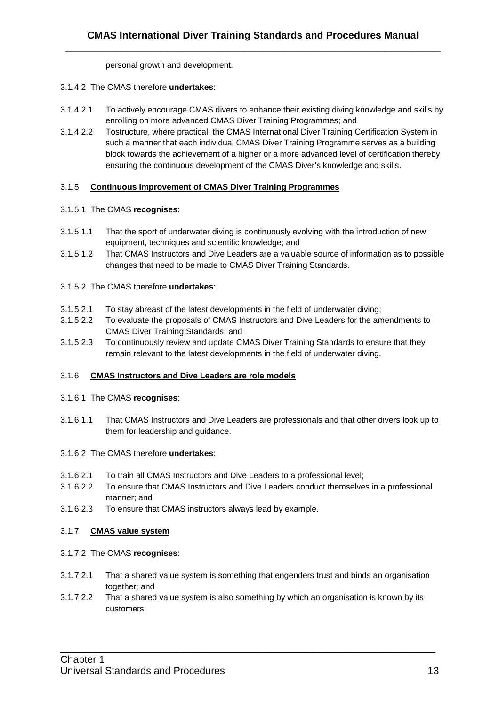personal growth and development.

- 3.1.4.2 The CMAS therefore **undertakes**:
- 3.1.4.2.1 To actively encourage CMAS divers to enhance their existing diving knowledge and skills by enrolling on more advanced CMAS Diver Training Programmes; and
- 3.1.4.2.2 Tostructure, where practical, the CMAS International Diver Training Certification System in such a manner that each individual CMAS Diver Training Programme serves as a building block towards the achievement of a higher or a more advanced level of certification thereby ensuring the continuous development of the CMAS Diver's knowledge and skills.

# 3.1.5 **Continuous improvement of CMAS Diver Training Programmes**

# 3.1.5.1 The CMAS **recognises**:

- 3.1.5.1.1 That the sport of underwater diving is continuously evolving with the introduction of new equipment, techniques and scientific knowledge; and
- 3.1.5.1.2 That CMAS Instructors and Dive Leaders are a valuable source of information as to possible changes that need to be made to CMAS Diver Training Standards.

# 3.1.5.2 The CMAS therefore **undertakes**:

- 3.1.5.2.1 To stay abreast of the latest developments in the field of underwater diving;
- 3.1.5.2.2 To evaluate the proposals of CMAS Instructors and Dive Leaders for the amendments to CMAS Diver Training Standards; and
- 3.1.5.2.3 To continuously review and update CMAS Diver Training Standards to ensure that they remain relevant to the latest developments in the field of underwater diving.

# 3.1.6 **CMAS Instructors and Dive Leaders are role models**

#### 3.1.6.1 The CMAS **recognises**:

3.1.6.1.1 That CMAS Instructors and Dive Leaders are professionals and that other divers look up to them for leadership and guidance.

# 3.1.6.2 The CMAS therefore **undertakes**:

- 3.1.6.2.1 To train all CMAS Instructors and Dive Leaders to a professional level;
- 3.1.6.2.2 To ensure that CMAS Instructors and Dive Leaders conduct themselves in a professional manner; and
- 3.1.6.2.3 To ensure that CMAS instructors always lead by example.

#### 3.1.7 **CMAS value system**

#### 3.1.7.2 The CMAS **recognises**:

- 3.1.7.2.1 That a shared value system is something that engenders trust and binds an organisation together; and
- 3.1.7.2.2 That a shared value system is also something by which an organisation is known by its customers.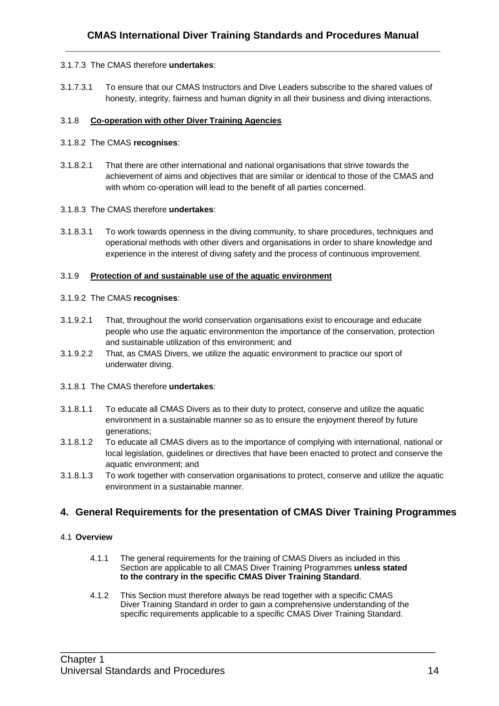#### 3.1.7.3 The CMAS therefore **undertakes**:

3.1.7.3.1 To ensure that our CMAS Instructors and Dive Leaders subscribe to the shared values of honesty, integrity, fairness and human dignity in all their business and diving interactions.

# 3.1.8 **Co-operation with other Diver Training Agencies**

#### 3.1.8.2 The CMAS **recognises**:

3.1.8.2.1 That there are other international and national organisations that strive towards the achievement of aims and objectives that are similar or identical to those of the CMAS and with whom co-operation will lead to the benefit of all parties concerned.

#### 3.1.8.3 The CMAS therefore **undertakes**:

3.1.8.3.1 To work towards openness in the diving community, to share procedures, techniques and operational methods with other divers and organisations in order to share knowledge and experience in the interest of diving safety and the process of continuous improvement.

# 3.1.9 **Protection of and sustainable use of the aquatic environment**

# 3.1.9.2 The CMAS **recognises**:

- 3.1.9.2.1 That, throughout the world conservation organisations exist to encourage and educate people who use the aquatic environmenton the importance of the conservation, protection and sustainable utilization of this environment; and
- 3.1.9.2.2 That, as CMAS Divers, we utilize the aquatic environment to practice our sport of underwater diving.

#### 3.1.8.1 The CMAS therefore **undertakes**:

- 3.1.8.1.1 To educate all CMAS Divers as to their duty to protect, conserve and utilize the aquatic environment in a sustainable manner so as to ensure the enjoyment thereof by future generations;
- 3.1.8.1.2 To educate all CMAS divers as to the importance of complying with international, national or local legislation, guidelines or directives that have been enacted to protect and conserve the aquatic environment; and
- 3.1.8.1.3 To work together with conservation organisations to protect, conserve and utilize the aquatic environment in a sustainable manner.

# **4. General Requirements for the presentation of CMAS Diver Training Programmes**

# 4.1 **Overview**

- 4.1.1 The general requirements for the training of CMAS Divers as included in this Section are applicable to all CMAS Diver Training Programmes **unless stated to the contrary in the specific CMAS Diver Training Standard**.
- 4.1.2 This Section must therefore always be read together with a specific CMAS Diver Training Standard in order to gain a comprehensive understanding of the specific requirements applicable to a specific CMAS Diver Training Standard.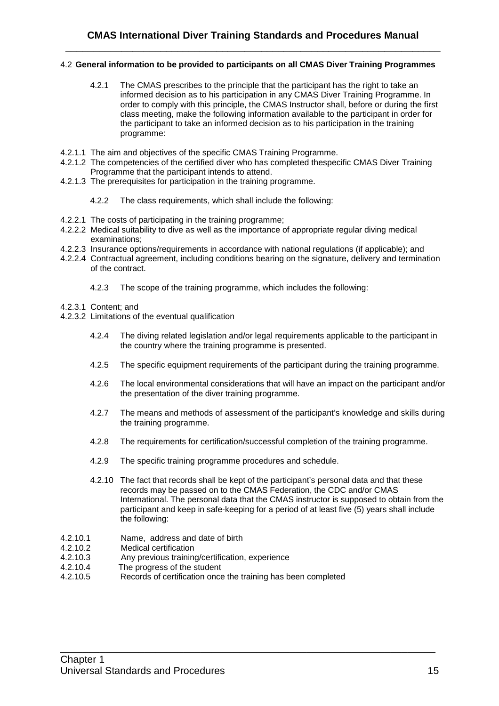#### 4.2 **General information to be provided to participants on all CMAS Diver Training Programmes**

- 4.2.1 The CMAS prescribes to the principle that the participant has the right to take an informed decision as to his participation in any CMAS Diver Training Programme. In order to comply with this principle, the CMAS Instructor shall, before or during the first class meeting, make the following information available to the participant in order for the participant to take an informed decision as to his participation in the training programme:
- 4.2.1.1 The aim and objectives of the specific CMAS Training Programme.
- 4.2.1.2 The competencies of the certified diver who has completed thespecific CMAS Diver Training Programme that the participant intends to attend.
- 4.2.1.3 The prerequisites for participation in the training programme.
	- 4.2.2 The class requirements, which shall include the following:
- 4.2.2.1 The costs of participating in the training programme;
- 4.2.2.2 Medical suitability to dive as well as the importance of appropriate regular diving medical examinations;
- 4.2.2.3 Insurance options/requirements in accordance with national regulations (if applicable); and
- 4.2.2.4 Contractual agreement, including conditions bearing on the signature, delivery and termination of the contract.
	- 4.2.3 The scope of the training programme, which includes the following:
- 4.2.3.1 Content; and
- 4.2.3.2 Limitations of the eventual qualification
	- 4.2.4 The diving related legislation and/or legal requirements applicable to the participant in the country where the training programme is presented.
	- 4.2.5 The specific equipment requirements of the participant during the training programme.
	- 4.2.6 The local environmental considerations that will have an impact on the participant and/or the presentation of the diver training programme.
	- 4.2.7 The means and methods of assessment of the participant's knowledge and skills during the training programme.
	- 4.2.8 The requirements for certification/successful completion of the training programme.
	- 4.2.9 The specific training programme procedures and schedule.
	- 4.2.10 The fact that records shall be kept of the participant's personal data and that these records may be passed on to the CMAS Federation, the CDC and/or CMAS International. The personal data that the CMAS instructor is supposed to obtain from the participant and keep in safe-keeping for a period of at least five (5) years shall include the following:

- 4.2.10.1 Name, address and date of birth
- 4.2.10.2 Medical certification
- 4.2.10.3 Any previous training/certification, experience
- 4.2.10.4 The progress of the student
- 4.2.10.5 Records of certification once the training has been completed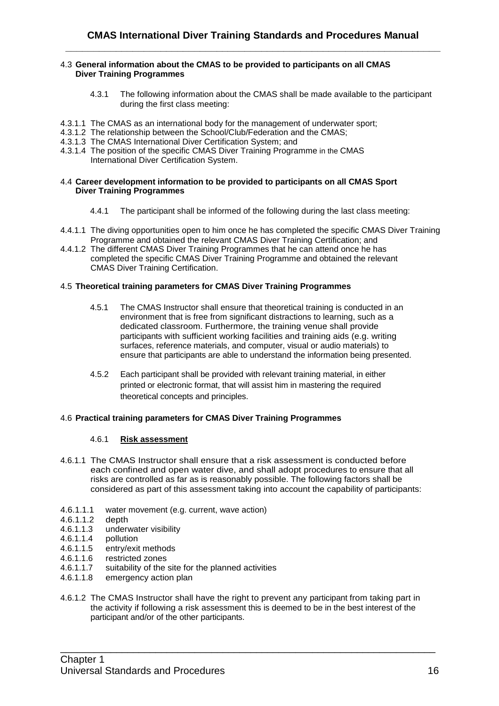#### 4.3 **General information about the CMAS to be provided to participants on all CMAS Diver Training Programmes**

- 4.3.1 The following information about the CMAS shall be made available to the participant during the first class meeting:
- 4.3.1.1 The CMAS as an international body for the management of underwater sport;
- 4.3.1.2 The relationship between the School/Club/Federation and the CMAS;
- 4.3.1.3 The CMAS International Diver Certification System; and
- 4.3.1.4 The position of the specific CMAS Diver Training Programme in the CMAS International Diver Certification System.

#### 4.4 **Career development information to be provided to participants on all CMAS Sport Diver Training Programmes**

- 4.4.1 The participant shall be informed of the following during the last class meeting:
- 4.4.1.1 The diving opportunities open to him once he has completed the specific CMAS Diver Training Programme and obtained the relevant CMAS Diver Training Certification; and
- 4.4.1.2 The different CMAS Diver Training Programmes that he can attend once he has completed the specific CMAS Diver Training Programme and obtained the relevant CMAS Diver Training Certification.

#### 4.5 **Theoretical training parameters for CMAS Diver Training Programmes**

- 4.5.1 The CMAS Instructor shall ensure that theoretical training is conducted in an environment that is free from significant distractions to learning, such as a dedicated classroom. Furthermore, the training venue shall provide participants with sufficient working facilities and training aids (e.g. writing surfaces, reference materials, and computer, visual or audio materials) to ensure that participants are able to understand the information being presented.
- 4.5.2 Each participant shall be provided with relevant training material, in either printed or electronic format, that will assist him in mastering the required theoretical concepts and principles.

#### 4.6 **Practical training parameters for CMAS Diver Training Programmes**

#### 4.6.1 **Risk assessment**

- 4.6.1.1 The CMAS Instructor shall ensure that a risk assessment is conducted before each confined and open water dive, and shall adopt procedures to ensure that all risks are controlled as far as is reasonably possible. The following factors shall be considered as part of this assessment taking into account the capability of participants:
- 4.6.1.1.1 water movement (e.g. current, wave action)
- 4.6.1.1.2 depth
- 4.6.1.1.3 underwater visibility
- 4.6.1.1.4 pollution
- 4.6.1.1.5 entry/exit methods
- 4.6.1.1.6 restricted zones
- 4.6.1.1.7 suitability of the site for the planned activities<br>4.6.1.1.8 emergency action plan
- emergency action plan
- 4.6.1.2 The CMAS Instructor shall have the right to prevent any participant from taking part in the activity if following a risk assessment this is deemed to be in the best interest of the participant and/or of the other participants.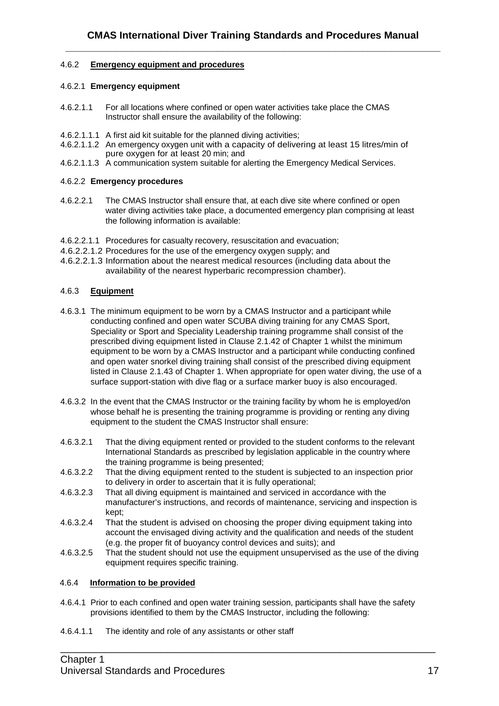# 4.6.2 **Emergency equipment and procedures**

#### 4.6.2.1 **Emergency equipment**

- 4.6.2.1.1 For all locations where confined or open water activities take place the CMAS Instructor shall ensure the availability of the following:
- 4.6.2.1.1.1 A first aid kit suitable for the planned diving activities;
- 4.6.2.1.1.2 An emergency oxygen unit with a capacity of delivering at least 15 litres/min of pure oxygen for at least 20 min; and
- 4.6.2.1.1.3 A communication system suitable for alerting the Emergency Medical Services.

#### 4.6.2.2 **Emergency procedures**

- 4.6.2.2.1 The CMAS Instructor shall ensure that, at each dive site where confined or open water diving activities take place, a documented emergency plan comprising at least the following information is available:
- 4.6.2.2.1.1 Procedures for casualty recovery, resuscitation and evacuation;
- 4.6.2.2.1.2 Procedures for the use of the emergency oxygen supply; and
- 4.6.2.2.1.3 Information about the nearest medical resources (including data about the availability of the nearest hyperbaric recompression chamber).

# 4.6.3 **Equipment**

- 4.6.3.1 The minimum equipment to be worn by a CMAS Instructor and a participant while conducting confined and open water SCUBA diving training for any CMAS Sport, Speciality or Sport and Speciality Leadership training programme shall consist of the prescribed diving equipment listed in Clause 2.1.42 of Chapter 1 whilst the minimum equipment to be worn by a CMAS Instructor and a participant while conducting confined and open water snorkel diving training shall consist of the prescribed diving equipment listed in Clause 2.1.43 of Chapter 1. When appropriate for open water diving, the use of a surface support-station with dive flag or a surface marker buoy is also encouraged.
- 4.6.3.2 In the event that the CMAS Instructor or the training facility by whom he is employed/on whose behalf he is presenting the training programme is providing or renting any diving equipment to the student the CMAS Instructor shall ensure:
- 4.6.3.2.1 That the diving equipment rented or provided to the student conforms to the relevant International Standards as prescribed by legislation applicable in the country where the training programme is being presented;
- 4.6.3.2.2 That the diving equipment rented to the student is subjected to an inspection prior to delivery in order to ascertain that it is fully operational;
- 4.6.3.2.3 That all diving equipment is maintained and serviced in accordance with the manufacturer's instructions, and records of maintenance, servicing and inspection is kept;
- 4.6.3.2.4 That the student is advised on choosing the proper diving equipment taking into account the envisaged diving activity and the qualification and needs of the student (e.g. the proper fit of buoyancy control devices and suits); and
- 4.6.3.2.5 That the student should not use the equipment unsupervised as the use of the diving equipment requires specific training.

#### 4.6.4 **Information to be provided**

4.6.4.1 Prior to each confined and open water training session, participants shall have the safety provisions identified to them by the CMAS Instructor, including the following:

\_\_\_\_\_\_\_\_\_\_\_\_\_\_\_\_\_\_\_\_\_\_\_\_\_\_\_\_\_\_\_\_\_\_\_\_\_\_\_\_\_\_\_\_\_\_\_\_\_\_\_\_\_\_\_\_\_\_\_\_\_\_\_\_\_\_\_

4.6.4.1.1 The identity and role of any assistants or other staff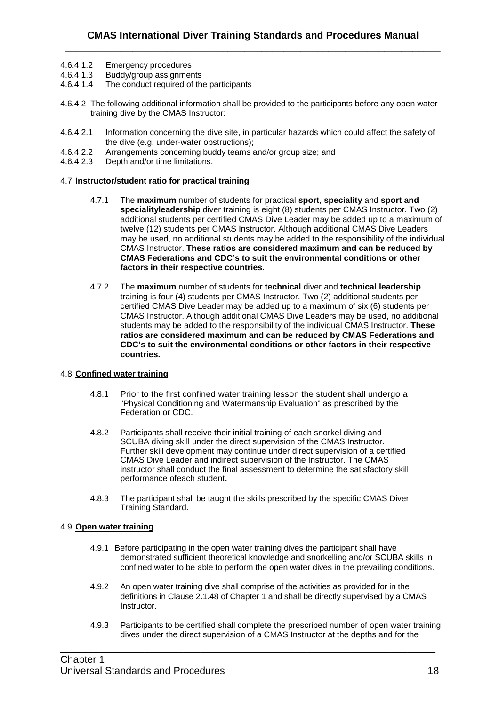- 4.6.4.1.2 Emergency procedures
- 4.6.4.1.3 Buddy/group assignments
- 4.6.4.1.4 The conduct required of the participants
- 4.6.4.2 The following additional information shall be provided to the participants before any open water training dive by the CMAS Instructor:
- 4.6.4.2.1 Information concerning the dive site, in particular hazards which could affect the safety of the dive (e.g. under-water obstructions);
- 4.6.4.2.2 Arrangements concerning buddy teams and/or group size; and
- 4.6.4.2.3 Depth and/or time limitations.

#### 4.7 **Instructor/student ratio for practical training**

- 4.7.1 The **maximum** number of students for practical **sport**, **speciality** and **sport and specialityleadership** diver training is eight (8) students per CMAS Instructor. Two (2) additional students per certified CMAS Dive Leader may be added up to a maximum of twelve (12) students per CMAS Instructor. Although additional CMAS Dive Leaders may be used, no additional students may be added to the responsibility of the individual CMAS Instructor. **These ratios are considered maximum and can be reduced by CMAS Federations and CDC's to suit the environmental conditions or other factors in their respective countries.**
- 4.7.2 The **maximum** number of students for **technical** diver and **technical leadership** training is four (4) students per CMAS Instructor. Two (2) additional students per certified CMAS Dive Leader may be added up to a maximum of six (6) students per CMAS Instructor. Although additional CMAS Dive Leaders may be used, no additional students may be added to the responsibility of the individual CMAS Instructor. **These ratios are considered maximum and can be reduced by CMAS Federations and CDC's to suit the environmental conditions or other factors in their respective countries.**

#### 4.8 **Confined water training**

- 4.8.1 Prior to the first confined water training lesson the student shall undergo a "Physical Conditioning and Watermanship Evaluation" as prescribed by the Federation or CDC.
- 4.8.2 Participants shall receive their initial training of each snorkel diving and SCUBA diving skill under the direct supervision of the CMAS Instructor. Further skill development may continue under direct supervision of a certified CMAS Dive Leader and indirect supervision of the Instructor. The CMAS instructor shall conduct the final assessment to determine the satisfactory skill performance ofeach student.
- 4.8.3 The participant shall be taught the skills prescribed by the specific CMAS Diver Training Standard.

#### 4.9 **Open water training**

- 4.9.1 Before participating in the open water training dives the participant shall have demonstrated sufficient theoretical knowledge and snorkelling and/or SCUBA skills in confined water to be able to perform the open water dives in the prevailing conditions.
- 4.9.2 An open water training dive shall comprise of the activities as provided for in the definitions in Clause 2.1.48 of Chapter 1 and shall be directly supervised by a CMAS Instructor.

\_\_\_\_\_\_\_\_\_\_\_\_\_\_\_\_\_\_\_\_\_\_\_\_\_\_\_\_\_\_\_\_\_\_\_\_\_\_\_\_\_\_\_\_\_\_\_\_\_\_\_\_\_\_\_\_\_\_\_\_\_\_\_\_\_\_\_

4.9.3 Participants to be certified shall complete the prescribed number of open water training dives under the direct supervision of a CMAS Instructor at the depths and for the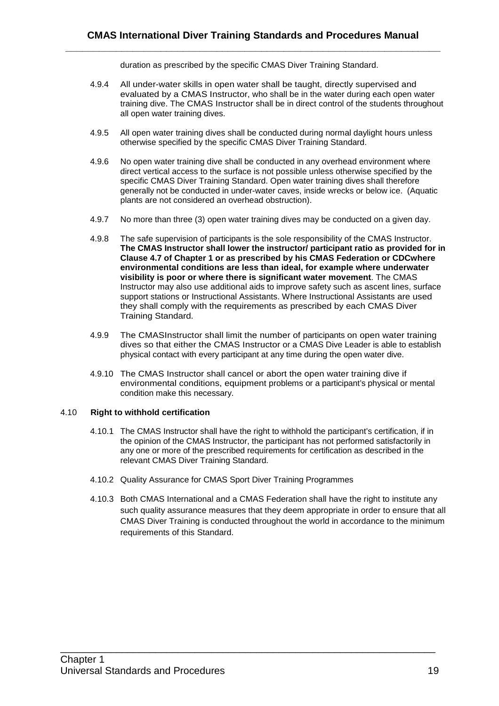duration as prescribed by the specific CMAS Diver Training Standard.

- 4.9.4 All under-water skills in open water shall be taught, directly supervised and evaluated by a CMAS Instructor, who shall be in the water during each open water training dive. The CMAS Instructor shall be in direct control of the students throughout all open water training dives.
- 4.9.5 All open water training dives shall be conducted during normal daylight hours unless otherwise specified by the specific CMAS Diver Training Standard.
- 4.9.6 No open water training dive shall be conducted in any overhead environment where direct vertical access to the surface is not possible unless otherwise specified by the specific CMAS Diver Training Standard. Open water training dives shall therefore generally not be conducted in under-water caves, inside wrecks or below ice. (Aquatic plants are not considered an overhead obstruction).
- 4.9.7 No more than three (3) open water training dives may be conducted on a given day.
- 4.9.8 The safe supervision of participants is the sole responsibility of the CMAS Instructor. **The CMAS Instructor shall lower the instructor/ participant ratio as provided for in Clause 4.7 of Chapter 1 or as prescribed by his CMAS Federation or CDCwhere environmental conditions are less than ideal, for example where underwater visibility is poor or where there is significant water movement**. The CMAS Instructor may also use additional aids to improve safety such as ascent lines, surface support stations or Instructional Assistants. Where Instructional Assistants are used they shall comply with the requirements as prescribed by each CMAS Diver Training Standard.
- 4.9.9 The CMASInstructor shall limit the number of participants on open water training dives so that either the CMAS Instructor or a CMAS Dive Leader is able to establish physical contact with every participant at any time during the open water dive.
- 4.9.10 The CMAS Instructor shall cancel or abort the open water training dive if environmental conditions, equipment problems or a participant's physical or mental condition make this necessary.

#### 4.10 **Right to withhold certification**

- 4.10.1 The CMAS Instructor shall have the right to withhold the participant's certification, if in the opinion of the CMAS Instructor, the participant has not performed satisfactorily in any one or more of the prescribed requirements for certification as described in the relevant CMAS Diver Training Standard.
- 4.10.2 Quality Assurance for CMAS Sport Diver Training Programmes
- 4.10.3 Both CMAS International and a CMAS Federation shall have the right to institute any such quality assurance measures that they deem appropriate in order to ensure that all CMAS Diver Training is conducted throughout the world in accordance to the minimum requirements of this Standard.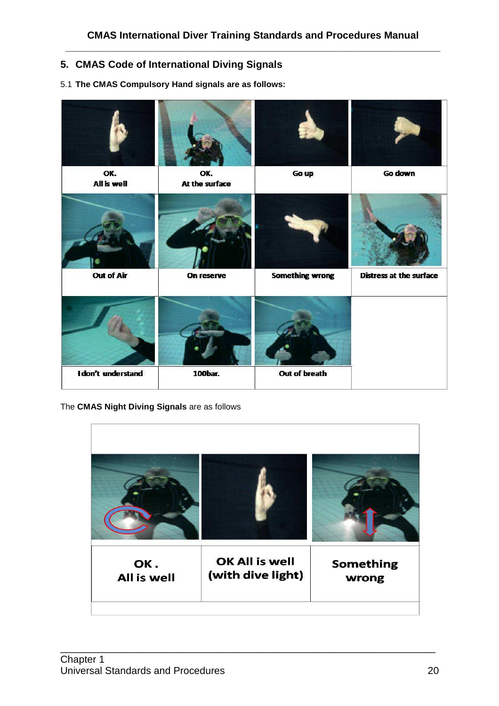# **5. CMAS Code of International Diving Signals**

# 5.1 **The CMAS Compulsory Hand signals are as follows:**



The **CMAS Night Diving Signals** are as follows

| OK.                | OK All is well    | <b>Something</b> |
|--------------------|-------------------|------------------|
| <b>All is well</b> | (with dive light) | wrong            |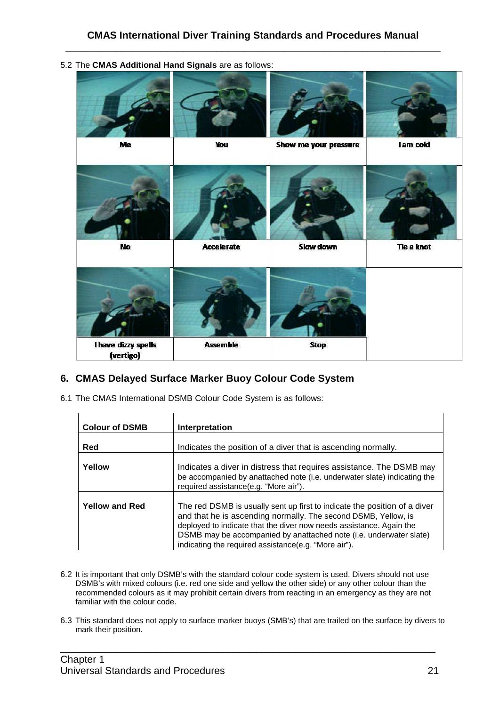

5.2 The **CMAS Additional Hand Signals** are as follows:

# **6. CMAS Delayed Surface Marker Buoy Colour Code System**

6.1 The CMAS International DSMB Colour Code System is as follows:

| <b>Colour of DSMB</b> | Interpretation                                                                                                                                                                                                                                                                                                                                   |
|-----------------------|--------------------------------------------------------------------------------------------------------------------------------------------------------------------------------------------------------------------------------------------------------------------------------------------------------------------------------------------------|
| Red                   | Indicates the position of a diver that is ascending normally.                                                                                                                                                                                                                                                                                    |
| Yellow                | Indicates a diver in distress that requires assistance. The DSMB may<br>be accompanied by anattached note (i.e. underwater slate) indicating the<br>required assistance(e.g. "More air").                                                                                                                                                        |
| <b>Yellow and Red</b> | The red DSMB is usually sent up first to indicate the position of a diver<br>and that he is ascending normally. The second DSMB, Yellow, is<br>deployed to indicate that the diver now needs assistance. Again the<br>DSMB may be accompanied by anattached note (i.e. underwater slate)<br>indicating the required assistance(e.g. "More air"). |

- 6.2 It is important that only DSMB's with the standard colour code system is used. Divers should not use DSMB's with mixed colours (i.e. red one side and yellow the other side) or any other colour than the recommended colours as it may prohibit certain divers from reacting in an emergency as they are not familiar with the colour code.
- 6.3 This standard does not apply to surface marker buoys (SMB's) that are trailed on the surface by divers to mark their position.